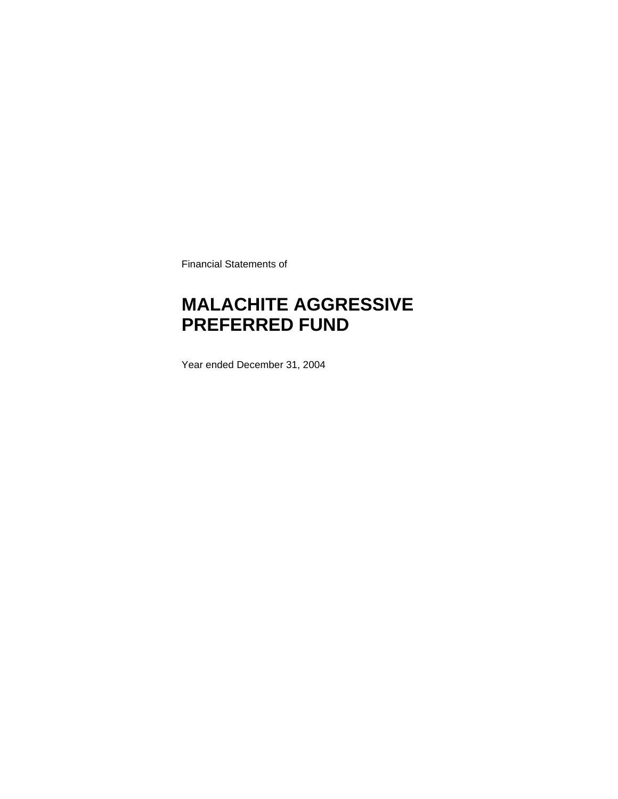Financial Statements of

### **MALACHITE AGGRESSIVE PREFERRED FUND**

Year ended December 31, 2004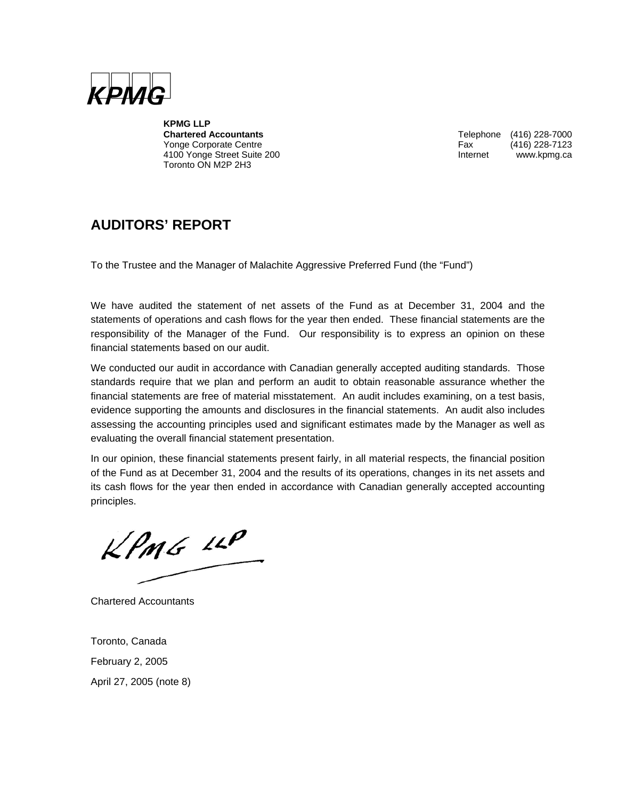

**KPMG LLP**  Yonge Corporate Centre 4100 Yonge Street Suite 200 **Internet WWW.kpmg.ca** Toronto ON M2P 2H3

Telephone (416) 228-7000<br>Fax (416) 228-7123

### **AUDITORS' REPORT**

To the Trustee and the Manager of Malachite Aggressive Preferred Fund (the "Fund")

We have audited the statement of net assets of the Fund as at December 31, 2004 and the statements of operations and cash flows for the year then ended. These financial statements are the responsibility of the Manager of the Fund. Our responsibility is to express an opinion on these financial statements based on our audit.

We conducted our audit in accordance with Canadian generally accepted auditing standards. Those standards require that we plan and perform an audit to obtain reasonable assurance whether the financial statements are free of material misstatement. An audit includes examining, on a test basis, evidence supporting the amounts and disclosures in the financial statements. An audit also includes assessing the accounting principles used and significant estimates made by the Manager as well as evaluating the overall financial statement presentation.

In our opinion, these financial statements present fairly, in all material respects, the financial position of the Fund as at December 31, 2004 and the results of its operations, changes in its net assets and its cash flows for the year then ended in accordance with Canadian generally accepted accounting principles.

 $KPMS$  11P

Chartered Accountants

Toronto, Canada February 2, 2005 April 27, 2005 (note 8)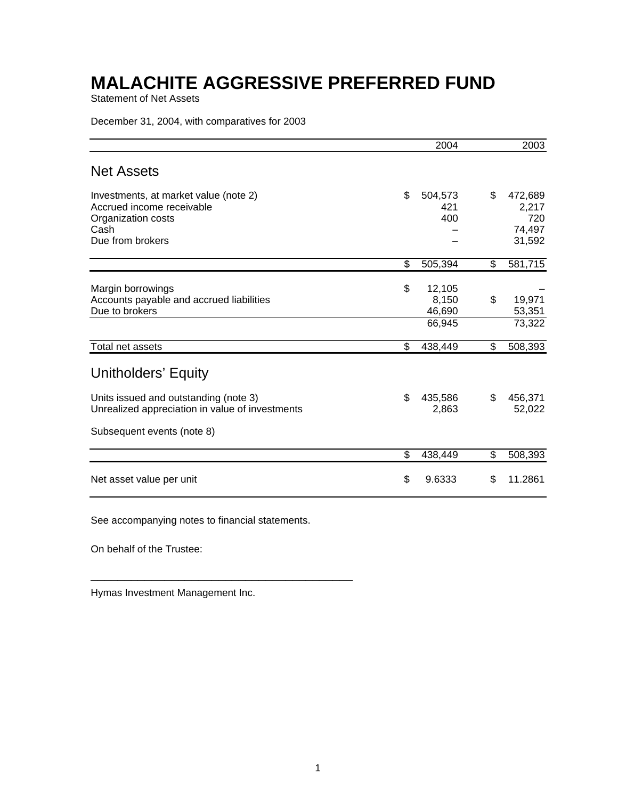Statement of Net Assets

December 31, 2004, with comparatives for 2003

|                                                                                                                      | 2004                                      | 2003                                              |
|----------------------------------------------------------------------------------------------------------------------|-------------------------------------------|---------------------------------------------------|
| <b>Net Assets</b>                                                                                                    |                                           |                                                   |
| Investments, at market value (note 2)<br>Accrued income receivable<br>Organization costs<br>Cash<br>Due from brokers | \$<br>504,573<br>421<br>400               | \$<br>472,689<br>2,217<br>720<br>74,497<br>31,592 |
|                                                                                                                      | \$<br>505,394                             | \$<br>581,715                                     |
| Margin borrowings<br>Accounts payable and accrued liabilities<br>Due to brokers                                      | \$<br>12,105<br>8,150<br>46,690<br>66,945 | \$<br>19,971<br>53,351<br>73,322                  |
| Total net assets                                                                                                     | \$<br>438,449                             | \$<br>508,393                                     |
| Unitholders' Equity<br>Units issued and outstanding (note 3)                                                         | \$<br>435,586                             | \$<br>456,371                                     |
| Unrealized appreciation in value of investments                                                                      | 2,863                                     | 52,022                                            |
| Subsequent events (note 8)                                                                                           |                                           |                                                   |
|                                                                                                                      | \$<br>438,449                             | \$<br>508,393                                     |
| Net asset value per unit                                                                                             | \$<br>9.6333                              | \$<br>11.2861                                     |

See accompanying notes to financial statements.

\_\_\_\_\_\_\_\_\_\_\_\_\_\_\_\_\_\_\_\_\_\_\_\_\_\_\_\_\_\_\_\_\_\_\_\_\_\_\_

On behalf of the Trustee:

Hymas Investment Management Inc.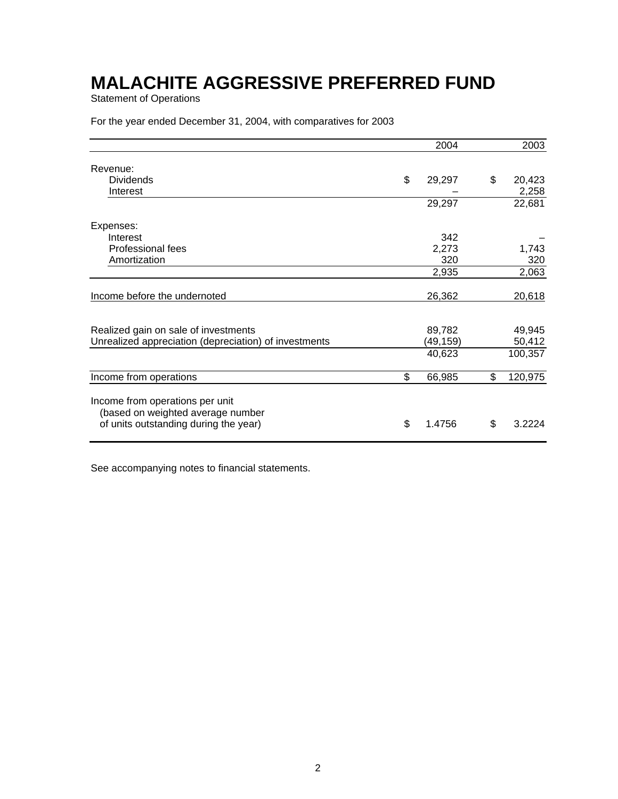Statement of Operations

For the year ended December 31, 2004, with comparatives for 2003

|                                                                                                               | 2004         | 2003          |
|---------------------------------------------------------------------------------------------------------------|--------------|---------------|
| Revenue:                                                                                                      |              |               |
| <b>Dividends</b>                                                                                              | \$<br>29,297 | \$<br>20,423  |
| Interest                                                                                                      |              | 2,258         |
|                                                                                                               | 29,297       | 22,681        |
| Expenses:                                                                                                     |              |               |
| Interest                                                                                                      | 342          |               |
| Professional fees                                                                                             | 2,273        | 1,743         |
| Amortization                                                                                                  | 320          | 320           |
|                                                                                                               | 2,935        | 2,063         |
| Income before the undernoted                                                                                  | 26,362       | 20,618        |
|                                                                                                               |              |               |
| Realized gain on sale of investments                                                                          | 89,782       | 49,945        |
| Unrealized appreciation (depreciation) of investments                                                         | (49,159)     | 50,412        |
|                                                                                                               | 40,623       | 100,357       |
| Income from operations                                                                                        | \$<br>66,985 | \$<br>120,975 |
| Income from operations per unit<br>(based on weighted average number<br>of units outstanding during the year) | \$<br>1.4756 | \$<br>3.2224  |
|                                                                                                               |              |               |

See accompanying notes to financial statements.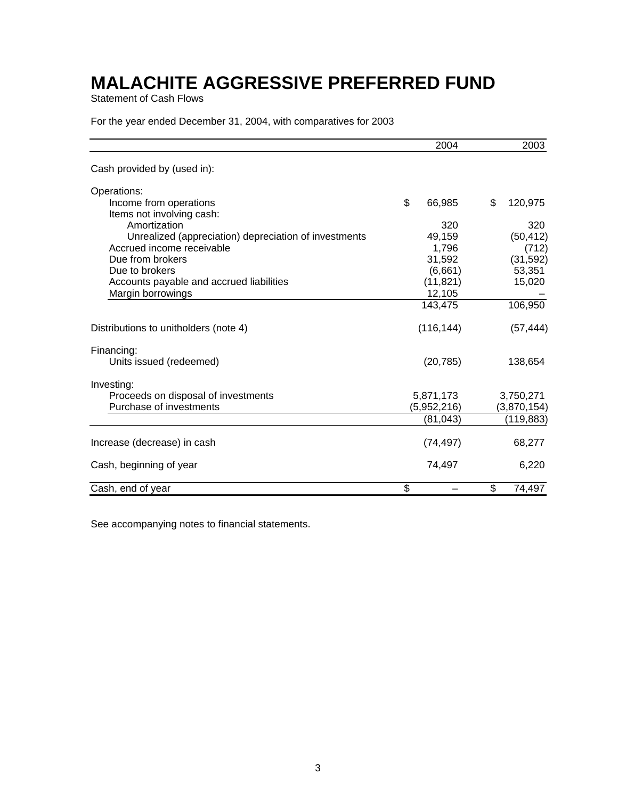Statement of Cash Flows

For the year ended December 31, 2004, with comparatives for 2003

|                                                       | 2004         | 2003          |
|-------------------------------------------------------|--------------|---------------|
| Cash provided by (used in):                           |              |               |
| Operations:                                           |              |               |
| Income from operations<br>Items not involving cash:   | \$<br>66,985 | \$<br>120,975 |
| Amortization                                          | 320          | 320           |
| Unrealized (appreciation) depreciation of investments | 49,159       | (50, 412)     |
| Accrued income receivable                             | 1,796        | (712)         |
| Due from brokers                                      | 31,592       | (31, 592)     |
| Due to brokers                                        | (6,661)      | 53,351        |
| Accounts payable and accrued liabilities              | (11, 821)    | 15,020        |
| Margin borrowings                                     | 12,105       |               |
|                                                       | 143,475      | 106,950       |
| Distributions to unitholders (note 4)                 | (116, 144)   | (57, 444)     |
| Financing:                                            |              |               |
| Units issued (redeemed)                               | (20, 785)    | 138,654       |
| Investing:                                            |              |               |
| Proceeds on disposal of investments                   | 5,871,173    | 3,750,271     |
| Purchase of investments                               | (5,952,216)  | (3,870,154)   |
|                                                       | (81,043)     | (119, 883)    |
| Increase (decrease) in cash                           | (74, 497)    | 68,277        |
| Cash, beginning of year                               | 74,497       | 6,220         |
| Cash, end of year                                     | \$           | \$<br>74,497  |

See accompanying notes to financial statements.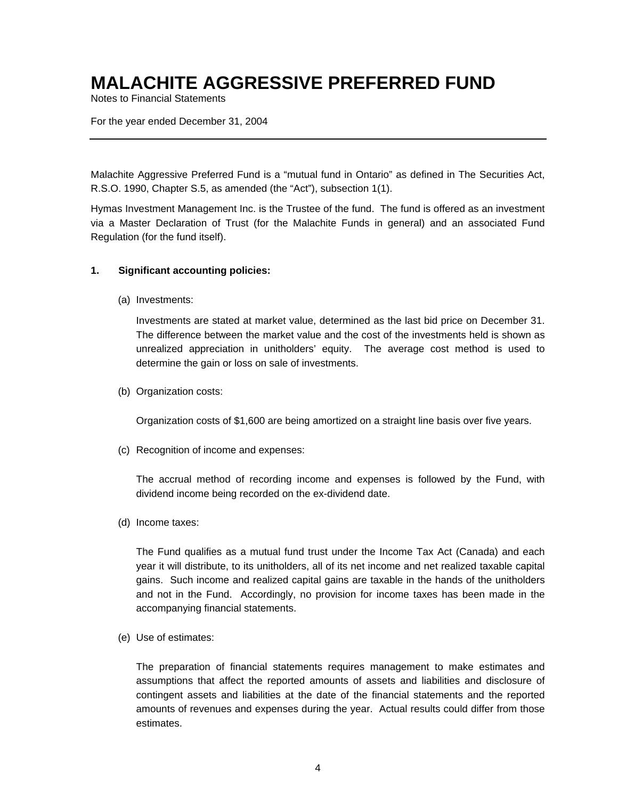Notes to Financial Statements

For the year ended December 31, 2004

Malachite Aggressive Preferred Fund is a "mutual fund in Ontario" as defined in The Securities Act, R.S.O. 1990, Chapter S.5, as amended (the "Act"), subsection 1(1).

Hymas Investment Management Inc. is the Trustee of the fund. The fund is offered as an investment via a Master Declaration of Trust (for the Malachite Funds in general) and an associated Fund Regulation (for the fund itself).

#### **1. Significant accounting policies:**

(a) Investments:

Investments are stated at market value, determined as the last bid price on December 31. The difference between the market value and the cost of the investments held is shown as unrealized appreciation in unitholders' equity. The average cost method is used to determine the gain or loss on sale of investments.

(b) Organization costs:

Organization costs of \$1,600 are being amortized on a straight line basis over five years.

(c) Recognition of income and expenses:

The accrual method of recording income and expenses is followed by the Fund, with dividend income being recorded on the ex-dividend date.

(d) Income taxes:

The Fund qualifies as a mutual fund trust under the Income Tax Act (Canada) and each year it will distribute, to its unitholders, all of its net income and net realized taxable capital gains. Such income and realized capital gains are taxable in the hands of the unitholders and not in the Fund. Accordingly, no provision for income taxes has been made in the accompanying financial statements.

(e) Use of estimates:

The preparation of financial statements requires management to make estimates and assumptions that affect the reported amounts of assets and liabilities and disclosure of contingent assets and liabilities at the date of the financial statements and the reported amounts of revenues and expenses during the year. Actual results could differ from those estimates.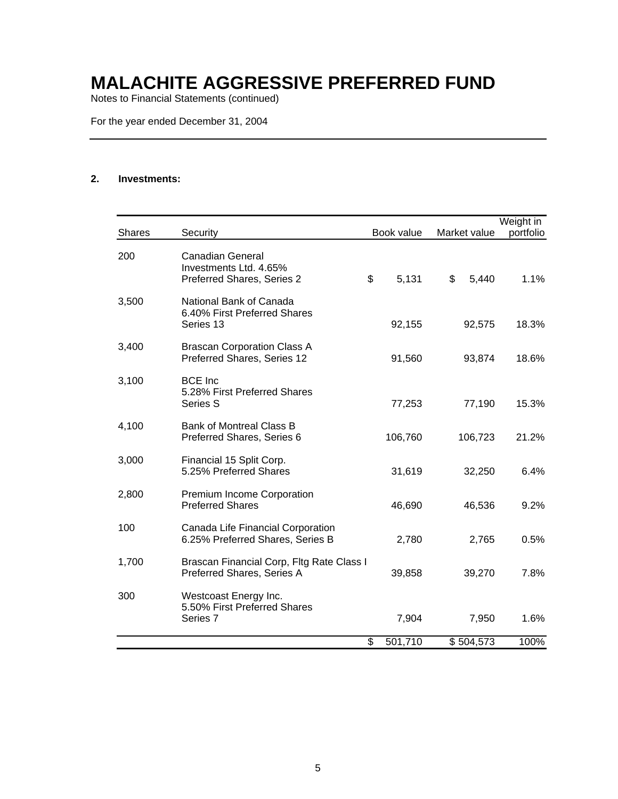Notes to Financial Statements (continued)

For the year ended December 31, 2004

#### **2. Investments:**

|               |                                                                                 |               |              | Weight in |
|---------------|---------------------------------------------------------------------------------|---------------|--------------|-----------|
| <b>Shares</b> | Security                                                                        | Book value    | Market value | portfolio |
| 200           | <b>Canadian General</b><br>Investments Ltd. 4.65%<br>Preferred Shares, Series 2 | \$<br>5,131   | \$<br>5,440  | 1.1%      |
| 3,500         | National Bank of Canada<br>6.40% First Preferred Shares<br>Series 13            | 92,155        | 92,575       | 18.3%     |
| 3,400         | <b>Brascan Corporation Class A</b><br>Preferred Shares, Series 12               | 91,560        | 93,874       | 18.6%     |
| 3,100         | <b>BCE</b> Inc<br>5.28% First Preferred Shares<br>Series S                      | 77,253        | 77,190       | 15.3%     |
| 4,100         | <b>Bank of Montreal Class B</b><br>Preferred Shares, Series 6                   | 106,760       | 106,723      | 21.2%     |
| 3,000         | Financial 15 Split Corp.<br>5.25% Preferred Shares                              | 31,619        | 32,250       | 6.4%      |
| 2,800         | Premium Income Corporation<br><b>Preferred Shares</b>                           | 46,690        | 46,536       | 9.2%      |
| 100           | Canada Life Financial Corporation<br>6.25% Preferred Shares, Series B           | 2,780         | 2,765        | 0.5%      |
| 1,700         | Brascan Financial Corp, Fltg Rate Class I<br>Preferred Shares, Series A         | 39,858        | 39,270       | 7.8%      |
| 300           | Westcoast Energy Inc.<br>5.50% First Preferred Shares<br>Series 7               | 7,904         | 7,950        | 1.6%      |
|               |                                                                                 | \$<br>501,710 | \$504,573    | 100%      |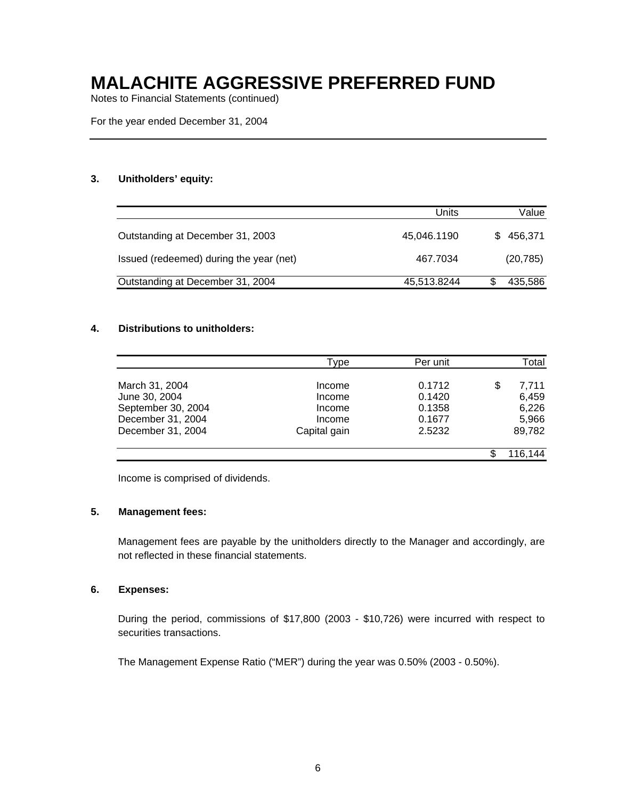Notes to Financial Statements (continued)

For the year ended December 31, 2004

#### **3. Unitholders' equity:**

|                                         | Units       | Value     |
|-----------------------------------------|-------------|-----------|
| Outstanding at December 31, 2003        | 45,046.1190 | \$456,371 |
| Issued (redeemed) during the year (net) | 467.7034    | (20, 785) |
| Outstanding at December 31, 2004        | 45,513.8244 | 435,586   |

#### **4. Distributions to unitholders:**

|                    | Type         | Per unit | Total       |
|--------------------|--------------|----------|-------------|
| March 31, 2004     | Income       | 0.1712   | \$<br>7,711 |
| June 30, 2004      | Income       | 0.1420   | 6,459       |
| September 30, 2004 | Income       | 0.1358   | 6,226       |
| December 31, 2004  | Income       | 0.1677   | 5,966       |
| December 31, 2004  | Capital gain | 2.5232   | 89,782      |
|                    |              |          | 116,144     |

Income is comprised of dividends.

#### **5. Management fees:**

Management fees are payable by the unitholders directly to the Manager and accordingly, are not reflected in these financial statements.

#### **6. Expenses:**

During the period, commissions of \$17,800 (2003 - \$10,726) were incurred with respect to securities transactions.

The Management Expense Ratio ("MER") during the year was 0.50% (2003 - 0.50%).